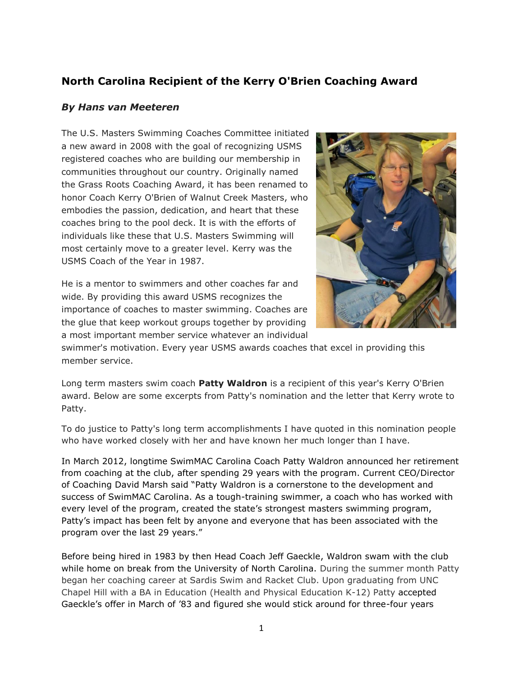## **North Carolina Recipient of the Kerry O'Brien Coaching Award**

## *By Hans van Meeteren*

The U.S. Masters Swimming Coaches Committee initiated a new award in 2008 with the goal of recognizing USMS registered coaches who are building our membership in communities throughout our country. Originally named the Grass Roots Coaching Award, it has been renamed to honor Coach Kerry O'Brien of Walnut Creek Masters, who embodies the passion, dedication, and heart that these coaches bring to the pool deck. It is with the efforts of individuals like these that U.S. Masters Swimming will most certainly move to a greater level. Kerry was the USMS Coach of the Year in 1987.

He is a mentor to swimmers and other coaches far and wide. By providing this award USMS recognizes the importance of coaches to master swimming. Coaches are the glue that keep workout groups together by providing a most important member service whatever an individual



swimmer's motivation. Every year USMS awards coaches that excel in providing this member service.

Long term masters swim coach **Patty Waldron** is a recipient of this year's Kerry O'Brien award. Below are some excerpts from Patty's nomination and the letter that Kerry wrote to Patty.

To do justice to Patty's long term accomplishments I have quoted in this nomination people who have worked closely with her and have known her much longer than I have.

In March 2012, longtime SwimMAC Carolina Coach Patty Waldron announced her retirement from coaching at the club, after spending 29 years with the program. Current CEO/Director of Coaching David Marsh said "Patty Waldron is a cornerstone to the development and success of SwimMAC Carolina. As a tough-training swimmer, a coach who has worked with every level of the program, created the state's strongest masters swimming program, Patty's impact has been felt by anyone and everyone that has been associated with the program over the last 29 years."

Before being hired in 1983 by then Head Coach Jeff Gaeckle, Waldron swam with the club while home on break from the University of North Carolina. During the summer month Patty began her coaching career at Sardis Swim and Racket Club. Upon graduating from UNC Chapel Hill with a BA in Education (Health and Physical Education K-12) Patty accepted Gaeckle's offer in March of '83 and figured she would stick around for three-four years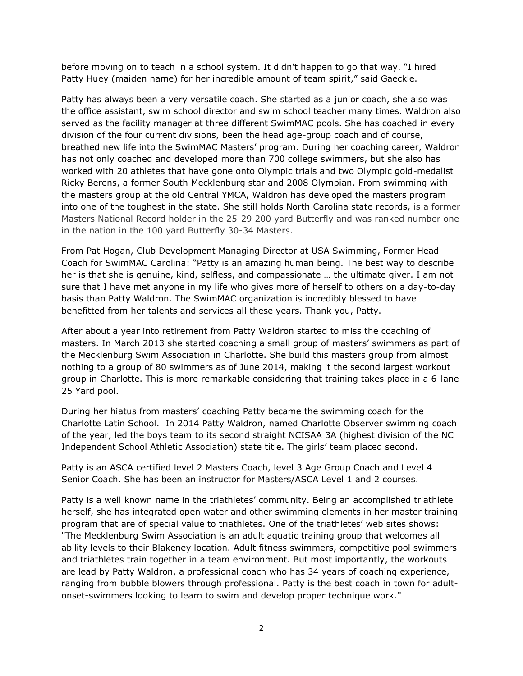before moving on to teach in a school system. It didn't happen to go that way. "I hired Patty Huey (maiden name) for her incredible amount of team spirit," said Gaeckle.

Patty has always been a very versatile coach. She started as a junior coach, she also was the office assistant, swim school director and swim school teacher many times. Waldron also served as the facility manager at three different SwimMAC pools. She has coached in every division of the four current divisions, been the head age-group coach and of course, breathed new life into the SwimMAC Masters' program. During her coaching career, Waldron has not only coached and developed more than 700 college swimmers, but she also has worked with 20 athletes that have gone onto Olympic trials and two Olympic gold-medalist Ricky Berens, a former South Mecklenburg star and 2008 Olympian. From swimming with the masters group at the old Central YMCA, Waldron has developed the masters program into one of the toughest in the state. She still holds North Carolina state records, is a former Masters National Record holder in the 25-29 200 yard Butterfly and was ranked number one in the nation in the 100 yard Butterfly 30-34 Masters.

From Pat Hogan, Club Development Managing Director at USA Swimming, Former Head Coach for SwimMAC Carolina: "Patty is an amazing human being. The best way to describe her is that she is genuine, kind, selfless, and compassionate … the ultimate giver. I am not sure that I have met anyone in my life who gives more of herself to others on a day-to-day basis than Patty Waldron. The SwimMAC organization is incredibly blessed to have benefitted from her talents and services all these years. Thank you, Patty.

After about a year into retirement from Patty Waldron started to miss the coaching of masters. In March 2013 she started coaching a small group of masters' swimmers as part of the Mecklenburg Swim Association in Charlotte. She build this masters group from almost nothing to a group of 80 swimmers as of June 2014, making it the second largest workout group in Charlotte. This is more remarkable considering that training takes place in a 6-lane 25 Yard pool.

During her hiatus from masters' coaching Patty became the swimming coach for the Charlotte Latin School. In 2014 Patty Waldron, named Charlotte Observer swimming coach of the year, led the boys team to its second straight NCISAA 3A (highest division of the NC Independent School Athletic Association) state title. The girls' team placed second.

Patty is an ASCA certified level 2 Masters Coach, level 3 Age Group Coach and Level 4 Senior Coach. She has been an instructor for Masters/ASCA Level 1 and 2 courses.

Patty is a well known name in the triathletes' community. Being an accomplished triathlete herself, she has integrated open water and other swimming elements in her master training program that are of special value to triathletes. One of the triathletes' web sites shows: "The [Mecklenburg Swim Association](http://www.msaswim.com/Home.jsp?team=nccac) is an adult aquatic training group that welcomes all ability levels to their Blakeney location. Adult fitness swimmers, competitive pool swimmers and triathletes train together in a team environment. But most importantly, the workouts are lead by Patty Waldron, a professional coach who has 34 years of coaching experience, ranging from bubble blowers through professional. Patty is the best coach in town for adultonset-swimmers looking to learn to swim and develop proper technique work."